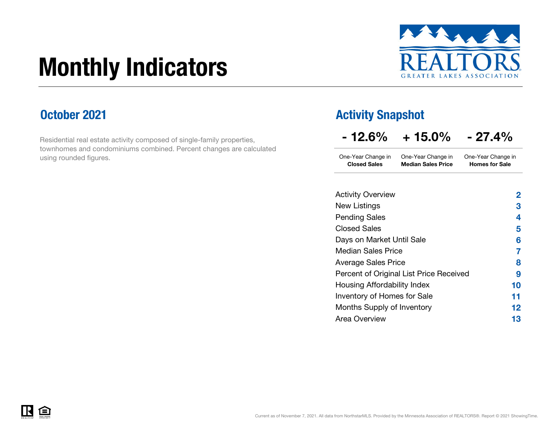# Monthly Indicators



### October 2021

Residential real estate activity composed of single-family properties, townhomes and condominiums combined. Percent changes are calculated using rounded figures.

### Activity Snapshot

One-Year Change in One-Year Change in Closed Sales Median Sales PriceOne-Year Change in Homes for Sale

| <b>Activity Overview</b>                | 2  |
|-----------------------------------------|----|
| New Listings                            | 3  |
| <b>Pending Sales</b>                    | 4  |
| <b>Closed Sales</b>                     | 5  |
| Days on Market Until Sale               | 6  |
| <b>Median Sales Price</b>               | 7  |
| <b>Average Sales Price</b>              | 8  |
| Percent of Original List Price Received | 9  |
| Housing Affordability Index             | 10 |
| Inventory of Homes for Sale             | 11 |
| Months Supply of Inventory              | 12 |
| Area Overview                           | 13 |

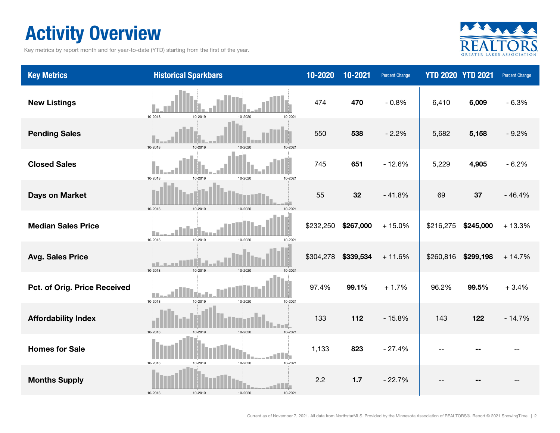## Activity Overview

Key metrics by report month and for year-to-date (YTD) starting from the first of the year.



| <b>Key Metrics</b>           | <b>Historical Sparkbars</b>                                | 10-2020   | 10-2021   | Percent Change |           | <b>YTD 2020 YTD 2021</b> | Percent Change |
|------------------------------|------------------------------------------------------------|-----------|-----------|----------------|-----------|--------------------------|----------------|
| <b>New Listings</b>          | 10-2018<br>10-2020<br>10-2021<br>10-2019                   | 474       | 470       | $-0.8%$        | 6,410     | 6,009                    | $-6.3%$        |
| <b>Pending Sales</b>         | 10-2018<br>10-2019<br>$10 - 202$                           | 550       | 538       | $-2.2%$        | 5,682     | 5,158                    | $-9.2%$        |
| <b>Closed Sales</b>          | 10-2018<br>10-2019<br>10-2020<br>10-2021                   | 745       | 651       | $-12.6%$       | 5,229     | 4,905                    | $-6.2%$        |
| <b>Days on Market</b>        | 10-2019<br>10-2018<br>10-2020<br>10-2021                   | 55        | 32        | $-41.8%$       | 69        | 37                       | $-46.4%$       |
| <b>Median Sales Price</b>    | 10-2018<br>10-2019<br>10-2020<br>10-2021                   | \$232,250 | \$267,000 | $+15.0%$       | \$216,275 | \$245,000                | $+13.3%$       |
| <b>Avg. Sales Price</b>      | 10-2018<br>10-2019<br>10-2020<br>10-2021                   | \$304,278 | \$339,534 | $+11.6%$       | \$260,816 | \$299,198                | $+14.7%$       |
| Pct. of Orig. Price Received | l III<br>10-2018<br>10-2019<br>10-2020<br>10-2021          | 97.4%     | 99.1%     | $+1.7%$        | 96.2%     | 99.5%                    | $+3.4%$        |
| <b>Affordability Index</b>   | 10-2019<br>10-2018<br>10-2020<br>10-2021                   | 133       | 112       | $-15.8%$       | 143       | 122                      | $-14.7%$       |
| <b>Homes for Sale</b>        | an Hillia<br>10-2020<br>10-2018<br>10-2019<br>10-2021      | 1,133     | 823       | $-27.4%$       |           |                          |                |
| <b>Months Supply</b>         | $\blacksquare$<br>10-2018<br>10-2019<br>10-2020<br>10-2021 | 2.2       | 1.7       | $-22.7%$       |           |                          |                |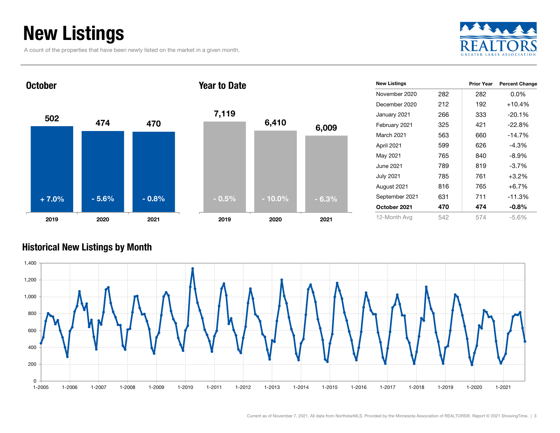## New Listings

A count of the properties that have been newly listed on the market in a given month.





| <b>New Listings</b> |     | <b>Prior Year</b> | <b>Percent Change</b> |
|---------------------|-----|-------------------|-----------------------|
| November 2020       | 282 | 282               | $0.0\%$               |
| December 2020       | 212 | 192               | $+10.4%$              |
| January 2021        | 266 | 333               | $-20.1%$              |
| February 2021       | 325 | 421               | $-22.8%$              |
| March 2021          | 563 | 660               | $-14.7%$              |
| April 2021          | 599 | 626               | $-4.3%$               |
| May 2021            | 765 | 840               | $-8.9\%$              |
| June 2021 <b>.</b>  | 789 | 819               | $-3.7\%$              |
| July 2021           | 785 | 761               | $+3.2%$               |
| August 2021         | 816 | 765               | $+6.7%$               |
| September 2021      | 631 | 711               | $-11.3%$              |
| October 2021        | 470 | 474               | $-0.8%$               |
| 12-Month Avg        | 542 | 574               | $-5.6%$               |

#### Historical New Listings by Month

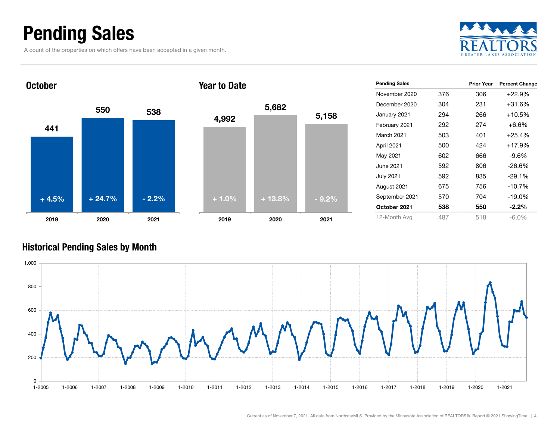### Pending Sales

A count of the properties on which offers have been accepted in a given month.







| <b>Pending Sales</b> |     | <b>Prior Year</b> | <b>Percent Change</b> |
|----------------------|-----|-------------------|-----------------------|
| November 2020        | 376 | 306               | $+22.9%$              |
| December 2020        | 304 | 231               | +31.6%                |
| January 2021         | 294 | 266               | $+10.5%$              |
| February 2021        | 292 | 274               | +6.6%                 |
| March 2021           | 503 | 401               | $+25.4%$              |
| April 2021           | 500 | 424               | $+17.9%$              |
| May 2021             | 602 | 666               | $-9.6%$               |
| June 2021            | 592 | 806               | $-26.6%$              |
| July 2021            | 592 | 835               | $-29.1%$              |
| August 2021          | 675 | 756               | $-10.7%$              |
| September 2021       | 570 | 704               | $-19.0%$              |
| October 2021         | 538 | 550               | $-2.2%$               |
| 12-Month Avg         | 487 | 518               | $-6.0\%$              |

#### Historical Pending Sales by Month

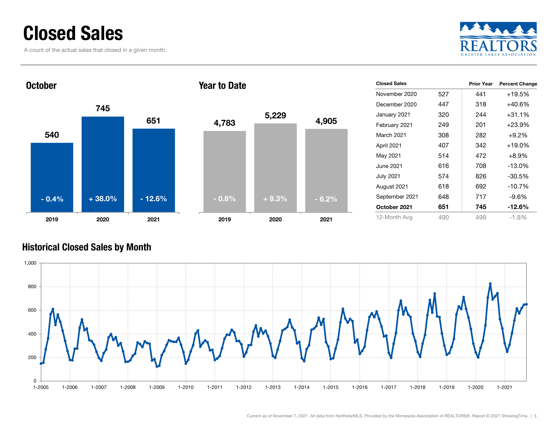### Closed Sales

A count of the actual sales that closed in a given month.





| <b>Closed Sales</b> |     | <b>Prior Year</b> | <b>Percent Change</b> |
|---------------------|-----|-------------------|-----------------------|
| November 2020       | 527 | 441               | $+19.5%$              |
| December 2020       | 447 | 318               | $+40.6%$              |
| January 2021        | 320 | 244               | $+31.1%$              |
| February 2021       | 249 | 201               | $+23.9%$              |
| March 2021          | 308 | 282               | $+9.2\%$              |
| April 2021          | 407 | 342               | $+19.0%$              |
| May 2021            | 514 | 472               | $+8.9\%$              |
| June 2021.          | 616 | 708               | $-13.0%$              |
| <b>July 2021</b>    | 574 | 826               | $-30.5%$              |
| August 2021         | 618 | 692               | $-10.7%$              |
| September 2021      | 648 | 717               | -9.6%                 |
| October 2021        | 651 | 745               | -12.6%                |
| 12-Month Avg        | 490 | 499               | $-1.8%$               |

#### Historical Closed Sales by Month

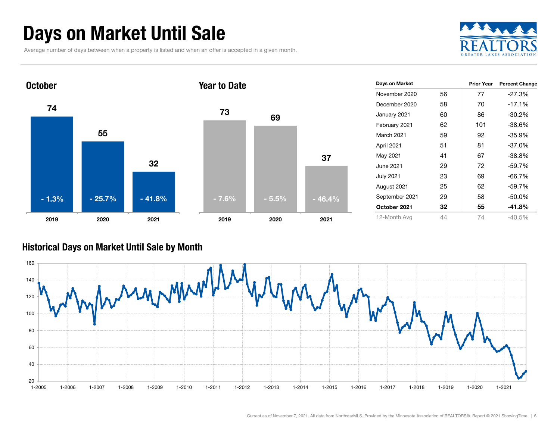### Days on Market Until Sale

Average number of days between when a property is listed and when an offer is accepted in a given month.





#### Historical Days on Market Until Sale by Month

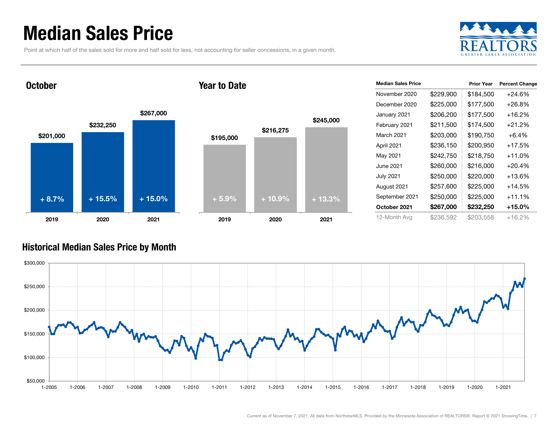### Median Sales Price

Point at which half of the sales sold for more and half sold for less, not accounting for seller concessions, in a given month.



October

#### Year to Date



| <b>Median Sales Price</b> |           | <b>Prior Year</b> | <b>Percent Change</b> |
|---------------------------|-----------|-------------------|-----------------------|
| November 2020             | \$229,900 | \$184,500         | $+24.6%$              |
| December 2020             | \$225,000 | \$177,500         | $+26.8\%$             |
| January 2021              | \$206,200 | \$177,500         | +16.2%                |
| February 2021             | \$211,500 | \$174,500         | $+21.2%$              |
| <b>March 2021</b>         | \$203,000 | \$190,750         | $+6.4%$               |
| April 2021                | \$236,150 | \$200,950         | $+17.5%$              |
| May 2021                  | \$242,750 | \$218,750         | $+11.0%$              |
| June 2021                 | \$260,000 | \$216,000         | $+20.4%$              |
| <b>July 2021</b>          | \$250,000 | \$220,000         | +13.6%                |
| August 2021               | \$257,600 | \$225,000         | $+14.5%$              |
| September 2021            | \$250,000 | \$225,000         | $+11.1%$              |
| October 2021              | \$267,000 | \$232,250         | $+15.0\%$             |
| 12-Month Avg              | \$236,592 | \$203,558         | +16.2%                |

#### Historical Median Sales Price by Month

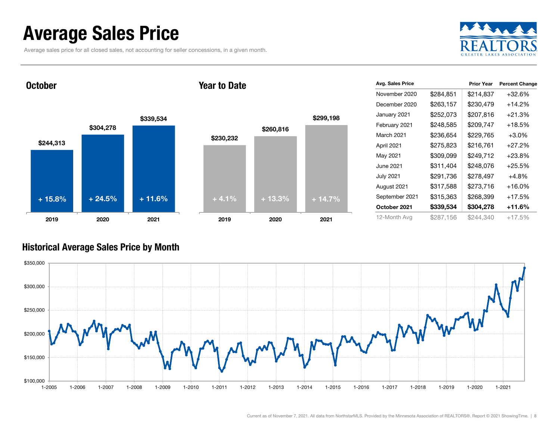### Average Sales Price

Average sales price for all closed sales, not accounting for seller concessions, in a given month.



**October** 

#### Year to Date



| Avg. Sales Price |           | <b>Prior Year</b> | <b>Percent Change</b> |
|------------------|-----------|-------------------|-----------------------|
| November 2020    | \$284,851 | \$214,837         | $+32.6%$              |
| December 2020    | \$263,157 | \$230,479         | $+14.2\%$             |
| January 2021     | \$252,073 | \$207,816         | $+21.3%$              |
| February 2021    | \$248,585 | \$209,747         | $+18.5%$              |
| March 2021       | \$236,654 | \$229,765         | $+3.0\%$              |
| April 2021       | \$275,823 | \$216,761         | $+27.2%$              |
| May 2021         | \$309,099 | \$249,712         | $+23.8\%$             |
| June 2021        | \$311,404 | \$248,076         | $+25.5%$              |
| <b>July 2021</b> | \$291,736 | \$278,497         | $+4.8%$               |
| August 2021      | \$317,588 | \$273,716         | $+16.0\%$             |
| September 2021   | \$315,363 | \$268,399         | $+17.5%$              |
| October 2021     | \$339,534 | \$304,278         | +11.6%                |
| 12-Month Avg     | \$287,156 | \$244.340         | +17.5%                |

#### Historical Average Sales Price by Month

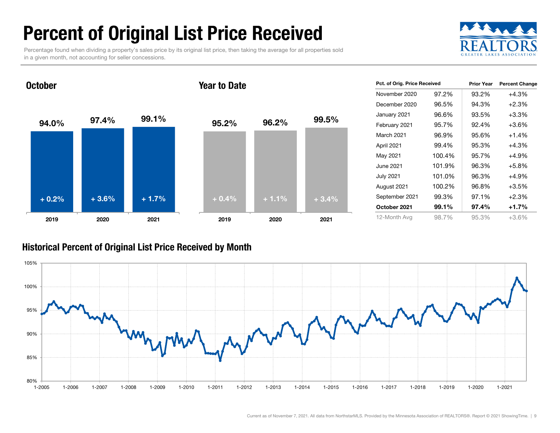## Percent of Original List Price Received

Percentage found when dividing a property's sales price by its original list price, then taking the average for all properties sold in a given month, not accounting for seller concessions.



94.0% 97.4% 99.1% 2019 2020 2021 October95.2% 96.2% 99.5% 2019 2020 2021 Year to Date+ 0.2% $\%$  + 3.6% + 1.7% + 0.4% + 1.1% + 3.4%

| Pct. of Orig. Price Received |        | <b>Prior Year</b> | <b>Percent Change</b> |
|------------------------------|--------|-------------------|-----------------------|
| November 2020                | 97.2%  | 93.2%             | $+4.3%$               |
| December 2020                | 96.5%  | 94.3%             | $+2.3%$               |
| January 2021                 | 96.6%  | 93.5%             | $+3.3%$               |
| February 2021                | 95.7%  | 92.4%             | $+3.6%$               |
| March 2021                   | 96.9%  | 95.6%             | $+1.4%$               |
| April 2021                   | 99.4%  | 95.3%             | +4.3%                 |
| May 2021                     | 100.4% | 95.7%             | $+4.9%$               |
| June 2021 <b>.</b>           | 101.9% | 96.3%             | $+5.8%$               |
| <b>July 2021</b>             | 101.0% | 96.3%             | +4.9%                 |
| August 2021                  | 100.2% | 96.8%             | $+3.5%$               |
| September 2021               | 99.3%  | 97.1%             | $+2.3%$               |
| October 2021                 | 99.1%  | 97.4%             | $+1.7%$               |
| 12-Month Avg                 | 98.7%  | 95.3%             | $+3.6%$               |

#### Historical Percent of Original List Price Received by Month

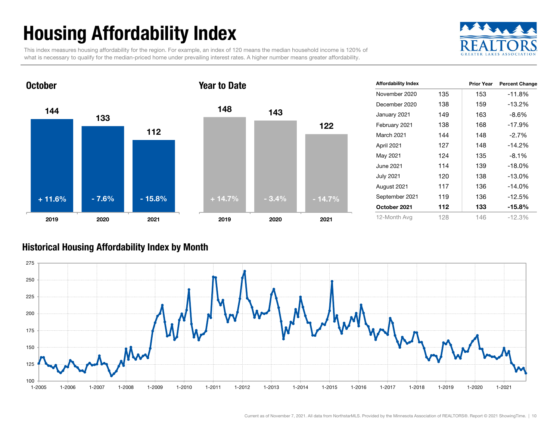## Housing Affordability Index

This index measures housing affordability for the region. For example, an index of 120 means the median household income is 120% of what is necessary to qualify for the median-priced home under prevailing interest rates. A higher number means greater affordability.





| <b>Affordability Index</b> |     | <b>Prior Year</b> | <b>Percent Change</b> |
|----------------------------|-----|-------------------|-----------------------|
| November 2020              | 135 | 153               | $-11.8%$              |
| December 2020              | 138 | 159               | -13.2%                |
| January 2021               | 149 | 163               | $-8.6%$               |
| February 2021              | 138 | 168               | $-17.9%$              |
| March 2021                 | 144 | 148               | $-2.7%$               |
| April 2021                 | 127 | 148               | $-14.2%$              |
| May 2021                   | 124 | 135               | $-8.1%$               |
| June 2021                  | 114 | 139               | $-18.0\%$             |
| <b>July 2021</b>           | 120 | 138               | $-13.0\%$             |
| August 2021                | 117 | 136               | $-14.0%$              |
| September 2021             | 119 | 136               | $-12.5%$              |
| October 2021               | 112 | 133               | -15.8%                |
| 12-Month Avg               | 128 | 146               | $-12.3%$              |

#### Historical Housing Affordability Index by Mont h

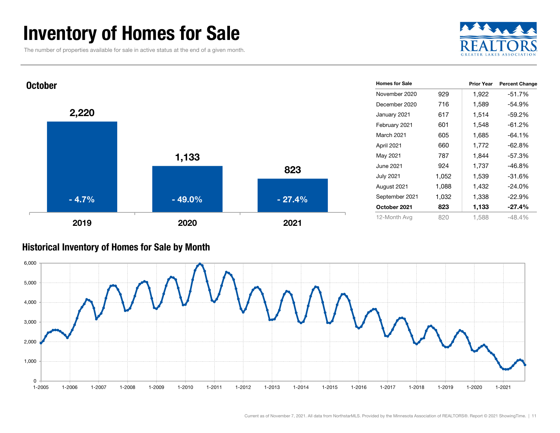### Inventory of Homes for Sale

The number of properties available for sale in active status at the end of a given month.





#### Historical Inventory of Homes for Sale by Month

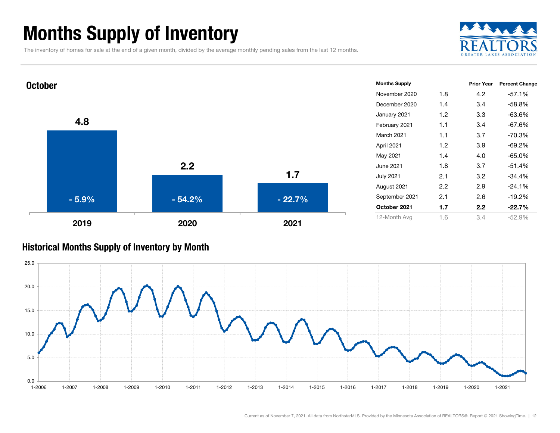### Months Supply of Inventory

The inventory of homes for sale at the end of a given month, divided by the average monthly pending sales from the last 12 months.





#### Historical Months Supply of Inventory by Month